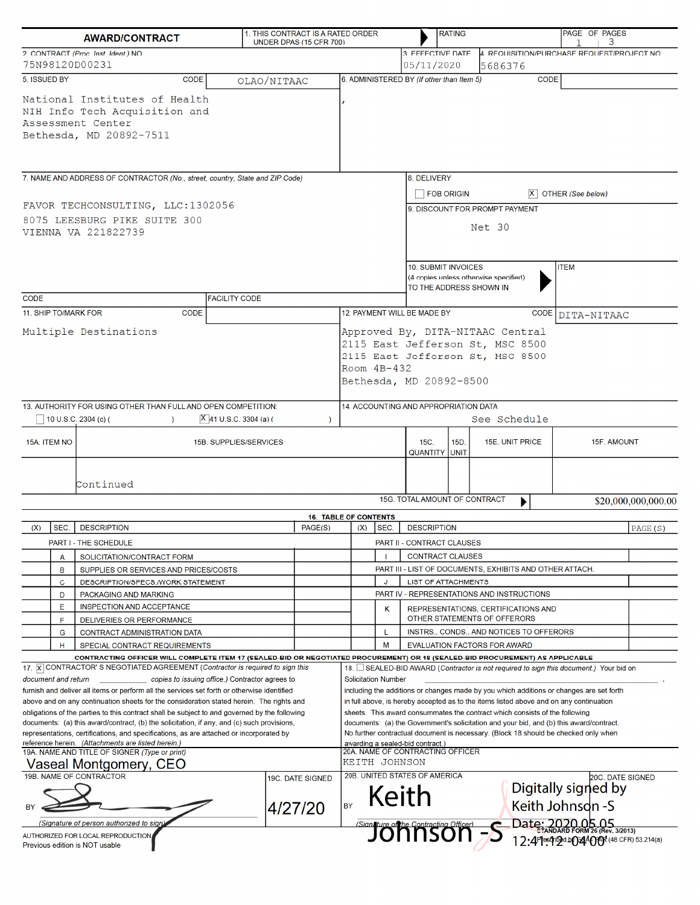|                                                        |                     | <b>AWARD/CONTRACT</b>                                                                                                                                                                                                                                                                                                                                                                                                                                                                                                                                                                                              | 1. THIS CONTRACT IS A RATED ORDER | UNDER DPAS (15 CFR 700)     |                                                                                                                                                      |                                                          |                         |                                                                      | <b>RATING</b> |                                                                                                                                                                                                                                                                                                                                                                                                                                                    | PAGE OF PAGES                            | 3                                         |
|--------------------------------------------------------|---------------------|--------------------------------------------------------------------------------------------------------------------------------------------------------------------------------------------------------------------------------------------------------------------------------------------------------------------------------------------------------------------------------------------------------------------------------------------------------------------------------------------------------------------------------------------------------------------------------------------------------------------|-----------------------------------|-----------------------------|------------------------------------------------------------------------------------------------------------------------------------------------------|----------------------------------------------------------|-------------------------|----------------------------------------------------------------------|---------------|----------------------------------------------------------------------------------------------------------------------------------------------------------------------------------------------------------------------------------------------------------------------------------------------------------------------------------------------------------------------------------------------------------------------------------------------------|------------------------------------------|-------------------------------------------|
| 2. CONTRACT (Proc. Inst. Ident.) NO.<br>75N98120D00231 |                     |                                                                                                                                                                                                                                                                                                                                                                                                                                                                                                                                                                                                                    |                                   |                             |                                                                                                                                                      |                                                          |                         | 3. EFFECTIVE DATE<br>05/11/2020                                      |               | 4. REQUISITION/PURCHASE REQUEST/PROJECT NO.<br>5686376                                                                                                                                                                                                                                                                                                                                                                                             |                                          |                                           |
|                                                        | 5. ISSUED BY        | <b>CODE</b>                                                                                                                                                                                                                                                                                                                                                                                                                                                                                                                                                                                                        | OLAO/NITAAC                       |                             |                                                                                                                                                      |                                                          |                         | 6. ADMINISTERED BY (If other than Item 5)                            |               | <b>CODE</b>                                                                                                                                                                                                                                                                                                                                                                                                                                        |                                          |                                           |
|                                                        |                     | National Institutes of Health<br>NIH Info Tech Acquisition and<br>Assessment Center<br>Bethesda, MD 20892-7511                                                                                                                                                                                                                                                                                                                                                                                                                                                                                                     |                                   |                             |                                                                                                                                                      |                                                          |                         |                                                                      |               |                                                                                                                                                                                                                                                                                                                                                                                                                                                    |                                          |                                           |
|                                                        |                     | 7. NAME AND ADDRESS OF CONTRACTOR (No., street, country, State and ZIP Code)                                                                                                                                                                                                                                                                                                                                                                                                                                                                                                                                       |                                   |                             |                                                                                                                                                      |                                                          |                         | 8. DELIVERY                                                          |               |                                                                                                                                                                                                                                                                                                                                                                                                                                                    |                                          |                                           |
|                                                        |                     | FAVOR TECHCONSULTING, LLC:1302056                                                                                                                                                                                                                                                                                                                                                                                                                                                                                                                                                                                  |                                   |                             |                                                                                                                                                      |                                                          |                         | FOB ORIGIN                                                           |               | 9. DISCOUNT FOR PROMPT PAYMENT                                                                                                                                                                                                                                                                                                                                                                                                                     | $ X $ OTHER (See below)                  |                                           |
|                                                        |                     | 8075 LEESBURG PIKE SUITE 300<br>VIENNA VA 221822739                                                                                                                                                                                                                                                                                                                                                                                                                                                                                                                                                                |                                   |                             |                                                                                                                                                      | Net 30                                                   |                         |                                                                      |               |                                                                                                                                                                                                                                                                                                                                                                                                                                                    |                                          |                                           |
| <b>CODE</b>                                            |                     |                                                                                                                                                                                                                                                                                                                                                                                                                                                                                                                                                                                                                    | <b>FACILITY CODE</b>              |                             |                                                                                                                                                      |                                                          |                         | 10. SUBMIT INVOICES<br>TO THE ADDRESS SHOWN IN                       |               | (4 copies unless otherwise specified)                                                                                                                                                                                                                                                                                                                                                                                                              | <b>ITEM</b>                              |                                           |
|                                                        |                     | 11. SHIP TO/MARK FOR<br><b>CODE</b>                                                                                                                                                                                                                                                                                                                                                                                                                                                                                                                                                                                |                                   |                             |                                                                                                                                                      |                                                          |                         | 12. PAYMENT WILL BE MADE BY                                          |               |                                                                                                                                                                                                                                                                                                                                                                                                                                                    | CODE DITA-NITAAC                         |                                           |
| Multiple Destinations                                  |                     |                                                                                                                                                                                                                                                                                                                                                                                                                                                                                                                                                                                                                    |                                   |                             | Approved By, DITA-NITAAC Central<br>2115 East Jefferson St, MSC 8500<br>2115 East Jefferson St, MSC 8500<br>Room $4B-432$<br>Bethesda, MD 20892-8500 |                                                          |                         |                                                                      |               |                                                                                                                                                                                                                                                                                                                                                                                                                                                    |                                          |                                           |
|                                                        |                     | 13. AUTHORITY FOR USING OTHER THAN FULL AND OPEN COMPETITION:<br>10 U.S.C. 2304 (c) (<br>$\lambda$                                                                                                                                                                                                                                                                                                                                                                                                                                                                                                                 | $ X $ 41 U.S.C. 3304 (a) (        | -)                          |                                                                                                                                                      |                                                          |                         | 14. ACCOUNTING AND APPROPRIATION DATA                                |               | See Schedule                                                                                                                                                                                                                                                                                                                                                                                                                                       |                                          |                                           |
|                                                        | 15A. ITEM NO        | 15B. SUPPLIES/SERVICES                                                                                                                                                                                                                                                                                                                                                                                                                                                                                                                                                                                             |                                   |                             |                                                                                                                                                      |                                                          |                         | 15C.<br>15D.<br>15E. UNIT PRICE<br><b>QUANTITY UNIT</b>              |               |                                                                                                                                                                                                                                                                                                                                                                                                                                                    | 15F. AMOUNT                              |                                           |
|                                                        |                     | Continued                                                                                                                                                                                                                                                                                                                                                                                                                                                                                                                                                                                                          |                                   |                             |                                                                                                                                                      |                                                          |                         |                                                                      |               |                                                                                                                                                                                                                                                                                                                                                                                                                                                    |                                          |                                           |
|                                                        |                     |                                                                                                                                                                                                                                                                                                                                                                                                                                                                                                                                                                                                                    |                                   |                             | 15G. TOTAL AMOUNT OF CONTRACT<br>\$20,000,000,000.00                                                                                                 |                                                          |                         |                                                                      |               |                                                                                                                                                                                                                                                                                                                                                                                                                                                    |                                          |                                           |
| (X)                                                    | SEC.                | <b>DESCRIPTION</b>                                                                                                                                                                                                                                                                                                                                                                                                                                                                                                                                                                                                 |                                   | PAGE(S)                     |                                                                                                                                                      | <b>16. TABLE OF CONTENTS</b><br>SEC.<br>(X)              |                         | <b>DESCRIPTION</b>                                                   |               |                                                                                                                                                                                                                                                                                                                                                                                                                                                    |                                          | PAGE(S)                                   |
|                                                        |                     | PART I - THE SCHEDULE                                                                                                                                                                                                                                                                                                                                                                                                                                                                                                                                                                                              |                                   |                             |                                                                                                                                                      |                                                          |                         | PART II - CONTRACT CLAUSES                                           |               |                                                                                                                                                                                                                                                                                                                                                                                                                                                    |                                          |                                           |
|                                                        | А                   | SOLICITATION/CONTRACT FORM                                                                                                                                                                                                                                                                                                                                                                                                                                                                                                                                                                                         |                                   |                             |                                                                                                                                                      |                                                          | <b>CONTRACT CLAUSES</b> |                                                                      |               |                                                                                                                                                                                                                                                                                                                                                                                                                                                    |                                          |                                           |
|                                                        | B                   | SUPPLIES OR SERVICES AND PRICES/COSTS                                                                                                                                                                                                                                                                                                                                                                                                                                                                                                                                                                              |                                   |                             |                                                                                                                                                      | PART III - LIST OF DOCUMENTS, EXHIBITS AND OTHER ATTACH. |                         |                                                                      |               |                                                                                                                                                                                                                                                                                                                                                                                                                                                    |                                          |                                           |
|                                                        | $\mathbf C$         | DESCRIPTION/SPECS./WORK STATEMENT                                                                                                                                                                                                                                                                                                                                                                                                                                                                                                                                                                                  |                                   |                             |                                                                                                                                                      | J                                                        |                         | LIST OF ATTACHMENTS                                                  |               |                                                                                                                                                                                                                                                                                                                                                                                                                                                    |                                          |                                           |
|                                                        | D                   | PACKAGING AND MARKING                                                                                                                                                                                                                                                                                                                                                                                                                                                                                                                                                                                              |                                   |                             |                                                                                                                                                      |                                                          |                         | PART IV - REPRESENTATIONS AND INSTRUCTIONS                           |               |                                                                                                                                                                                                                                                                                                                                                                                                                                                    |                                          |                                           |
|                                                        | Е<br>F              | INSPECTION AND ACCEPTANCE<br>DELIVERIES OR PERFORMANCE                                                                                                                                                                                                                                                                                                                                                                                                                                                                                                                                                             |                                   |                             |                                                                                                                                                      | κ                                                        |                         |                                                                      |               | REPRESENTATIONS, CERTIFICATIONS AND<br>OTHER STATEMENTS OF OFFERORS                                                                                                                                                                                                                                                                                                                                                                                |                                          |                                           |
|                                                        | G                   | CONTRACT ADMINISTRATION DATA                                                                                                                                                                                                                                                                                                                                                                                                                                                                                                                                                                                       |                                   |                             |                                                                                                                                                      | L                                                        |                         |                                                                      |               | INSTRS., CONDS., AND NOTICES TO OFFERORS                                                                                                                                                                                                                                                                                                                                                                                                           |                                          |                                           |
|                                                        | н                   | SPECIAL CONTRACT REQUIREMENTS                                                                                                                                                                                                                                                                                                                                                                                                                                                                                                                                                                                      |                                   |                             |                                                                                                                                                      | M                                                        |                         |                                                                      |               | <b>EVALUATION FACTORS FOR AWARD</b>                                                                                                                                                                                                                                                                                                                                                                                                                |                                          |                                           |
|                                                        | document and return | CONTRACTING OFFICER WILL COMPLETE ITEM 17 (SEALED-BID OR NEGOTIATED PROCUREMENT) OR 18 (SEALED-BID PROCUREMENT) AS APPLICABLE<br>17. X CONTRACTOR'S NEGOTIATED AGREEMENT (Contractor is required to sign this<br>copies to issuing office.) Contractor agrees to                                                                                                                                                                                                                                                                                                                                                   |                                   |                             |                                                                                                                                                      | <b>Solicitation Number</b>                               |                         |                                                                      |               | 18. □ SEALED-BID AWARD (Contractor is not required to sign this document.) Your bid on                                                                                                                                                                                                                                                                                                                                                             |                                          |                                           |
|                                                        |                     | furnish and deliver all items or perform all the services set forth or otherwise identified<br>above and on any continuation sheets for the consideration stated herein. The rights and<br>obligations of the parties to this contract shall be subject to and governed by the following<br>documents: (a) this award/contract, (b) the solicitation, if any, and (c) such provisions,<br>representations, certifications, and specifications, as are attached or incorporated by<br>reference herein. (Attachments are listed herein.)<br>19A. NAME AND TITLE OF SIGNER (Type or print)<br>Vaseal Montgomery, CEO |                                   |                             |                                                                                                                                                      | KEITH JOHNSON                                            |                         | awarding a sealed-bid contract.)<br>20A. NAME OF CONTRACTING OFFICER |               | including the additions or changes made by you which additions or changes are set forth<br>in full above, is hereby accepted as to the items listed above and on any continuation<br>sheets. This award consummates the contract which consists of the following<br>documents: (a) the Government's solicitation and your bid, and (b) this award/contract.<br>No further contractual document is necessary. (Block 18 should be checked only when |                                          |                                           |
|                                                        |                     | 19B. NAME OF CONTRACTOR                                                                                                                                                                                                                                                                                                                                                                                                                                                                                                                                                                                            |                                   | 19C. DATE SIGNED<br>4/27/20 | <b>BY</b>                                                                                                                                            |                                                          |                         | 20B. UNITED STATES OF AMERICA<br>Keith                               |               |                                                                                                                                                                                                                                                                                                                                                                                                                                                    | Digitally signed by<br>Keith Johnsdn - S | 20C. DATE SIGNED                          |
|                                                        |                     | (Signature of person authorized to sign)                                                                                                                                                                                                                                                                                                                                                                                                                                                                                                                                                                           |                                   |                             |                                                                                                                                                      |                                                          |                         |                                                                      |               |                                                                                                                                                                                                                                                                                                                                                                                                                                                    |                                          |                                           |
|                                                        |                     | AUTHORIZED FOR LOCAL REPRODUCTION<br>Previous edition is NOT usable                                                                                                                                                                                                                                                                                                                                                                                                                                                                                                                                                |                                   |                             |                                                                                                                                                      |                                                          |                         | Signature of the Contracting Officer)<br>JONNSON = 5                 |               |                                                                                                                                                                                                                                                                                                                                                                                                                                                    | Date: 2020.05.05                         | 12:4 Pesqin2d b034400R (48 CFR) 53.214(a) |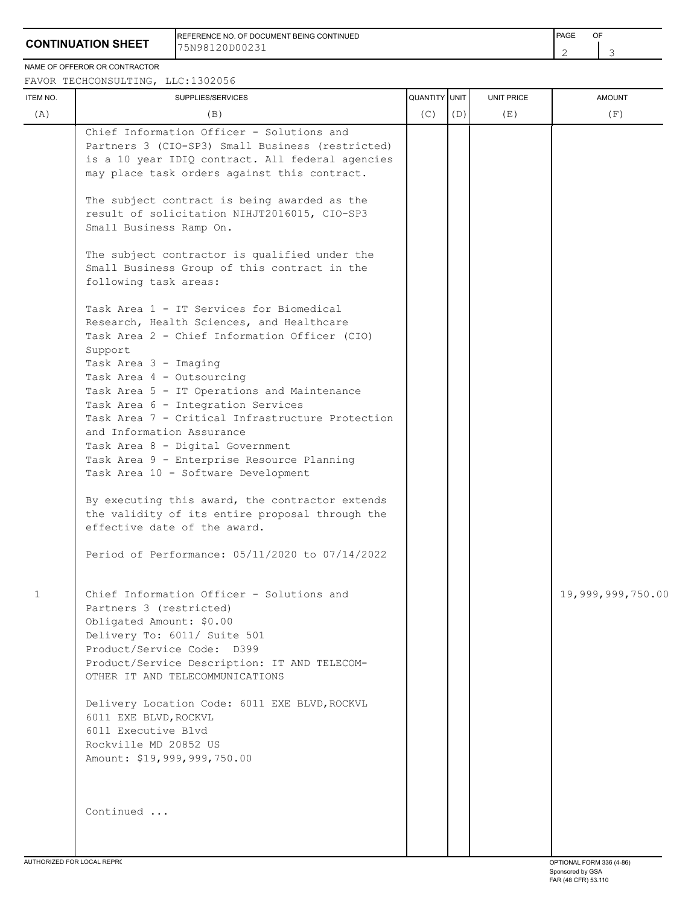## **CONTINUATION SHEET**

REFERENCE NO. OF DOCUMENT BEING CONTINUED **FRAME OF A SECONT ASSAULT A SECONT ASSAULT** PAGE OF 75N98120D00231

2 3

NAME OF OFFEROR OR CONTRACTOR

FAVOR TECHCONSULTING, LLC:1302056

| (C)<br>(D)<br>(A)<br>(B)<br>(E)<br>Chief Information Officer - Solutions and<br>Partners 3 (CIO-SP3) Small Business (restricted)<br>is a 10 year IDIQ contract. All federal agencies<br>may place task orders against this contract.<br>The subject contract is being awarded as the<br>result of solicitation NIHJT2016015, CIO-SP3<br>Small Business Ramp On.<br>The subject contractor is qualified under the<br>Small Business Group of this contract in the<br>following task areas:<br>Task Area 1 - IT Services for Biomedical<br>Research, Health Sciences, and Healthcare<br>Task Area 2 - Chief Information Officer (CIO)<br>Support<br>Task Area 3 - Imaging<br>Task Area 4 - Outsourcing<br>Task Area 5 - IT Operations and Maintenance<br>Task Area 6 - Integration Services<br>Task Area 7 - Critical Infrastructure Protection<br>and Information Assurance<br>Task Area 8 - Digital Government<br>Task Area 9 - Enterprise Resource Planning<br>Task Area 10 - Software Development<br>By executing this award, the contractor extends<br>the validity of its entire proposal through the<br>effective date of the award.<br>Period of Performance: 05/11/2020 to 07/14/2022<br>Chief Information Officer - Solutions and<br>1<br>Partners 3 (restricted)<br>Obligated Amount: \$0.00<br>Delivery To: 6011/ Suite 501<br>Product/Service Code: D399<br>Product/Service Description: IT AND TELECOM-<br>OTHER IT AND TELECOMMUNICATIONS<br>Delivery Location Code: 6011 EXE BLVD, ROCKVL<br>6011 EXE BLVD, ROCKVL<br>6011 Executive Blvd<br>Rockville MD 20852 US<br>Amount: \$19,999,999,750.00<br>Continued | ITEM NO. | SUPPLIES/SERVICES           | QUANTITY UNIT | <b>UNIT PRICE</b> | <b>AMOUNT</b>                   |
|------------------------------------------------------------------------------------------------------------------------------------------------------------------------------------------------------------------------------------------------------------------------------------------------------------------------------------------------------------------------------------------------------------------------------------------------------------------------------------------------------------------------------------------------------------------------------------------------------------------------------------------------------------------------------------------------------------------------------------------------------------------------------------------------------------------------------------------------------------------------------------------------------------------------------------------------------------------------------------------------------------------------------------------------------------------------------------------------------------------------------------------------------------------------------------------------------------------------------------------------------------------------------------------------------------------------------------------------------------------------------------------------------------------------------------------------------------------------------------------------------------------------------------------------------------------------------------------------------------------------------|----------|-----------------------------|---------------|-------------------|---------------------------------|
|                                                                                                                                                                                                                                                                                                                                                                                                                                                                                                                                                                                                                                                                                                                                                                                                                                                                                                                                                                                                                                                                                                                                                                                                                                                                                                                                                                                                                                                                                                                                                                                                                              |          |                             |               |                   | (F)                             |
|                                                                                                                                                                                                                                                                                                                                                                                                                                                                                                                                                                                                                                                                                                                                                                                                                                                                                                                                                                                                                                                                                                                                                                                                                                                                                                                                                                                                                                                                                                                                                                                                                              |          |                             |               |                   |                                 |
|                                                                                                                                                                                                                                                                                                                                                                                                                                                                                                                                                                                                                                                                                                                                                                                                                                                                                                                                                                                                                                                                                                                                                                                                                                                                                                                                                                                                                                                                                                                                                                                                                              |          |                             |               |                   | 19,999,999,750.00               |
|                                                                                                                                                                                                                                                                                                                                                                                                                                                                                                                                                                                                                                                                                                                                                                                                                                                                                                                                                                                                                                                                                                                                                                                                                                                                                                                                                                                                                                                                                                                                                                                                                              |          | ALITHORIZED FOR LOCAL REPRO |               |                   | <b>ODTIONAL EODM 226 (4 96)</b> |